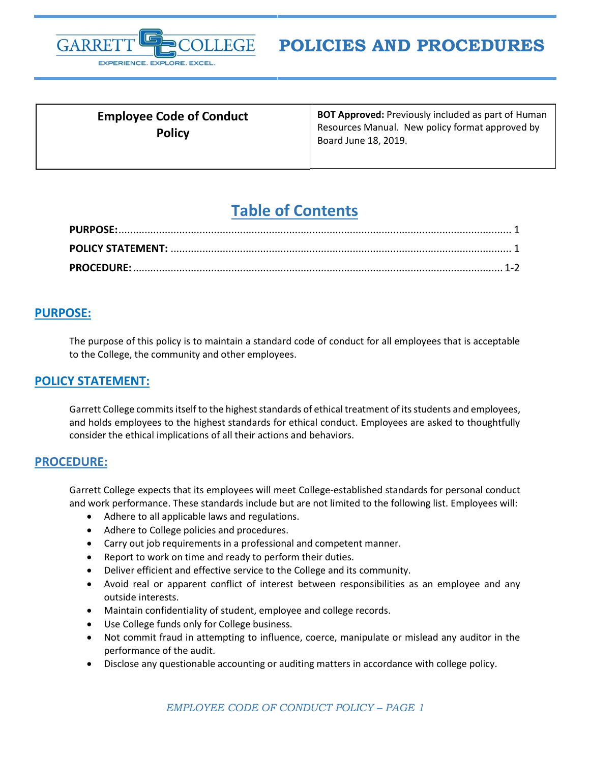

| <b>Employee Code of Conduct</b><br><b>Policy</b> | <b>BOT Approved:</b> Previously included as part of Human<br>Resources Manual. New policy format approved by<br>Board June 18, 2019. |
|--------------------------------------------------|--------------------------------------------------------------------------------------------------------------------------------------|
|                                                  |                                                                                                                                      |

# **Table of Contents**

## <span id="page-0-0"></span>**PURPOSE:**

The purpose of this policy is to maintain a standard code of conduct for all employees that is acceptable to the College, the community and other employees.

## <span id="page-0-1"></span>**POLICY STATEMENT:**

Garrett College commits itself to the highest standards of ethical treatment of its students and employees, and holds employees to the highest standards for ethical conduct. Employees are asked to thoughtfully consider the ethical implications of all their actions and behaviors.

## <span id="page-0-2"></span>**PROCEDURE:**

Garrett College expects that its employees will meet College-established standards for personal conduct and work performance. These standards include but are not limited to the following list. Employees will:

- Adhere to all applicable laws and regulations.
- Adhere to College policies and procedures.
- Carry out job requirements in a professional and competent manner.
- Report to work on time and ready to perform their duties.
- Deliver efficient and effective service to the College and its community.
- Avoid real or apparent conflict of interest between responsibilities as an employee and any outside interests.
- Maintain confidentiality of student, employee and college records.
- Use College funds only for College business.
- Not commit fraud in attempting to influence, coerce, manipulate or mislead any auditor in the performance of the audit.
- Disclose any questionable accounting or auditing matters in accordance with college policy.